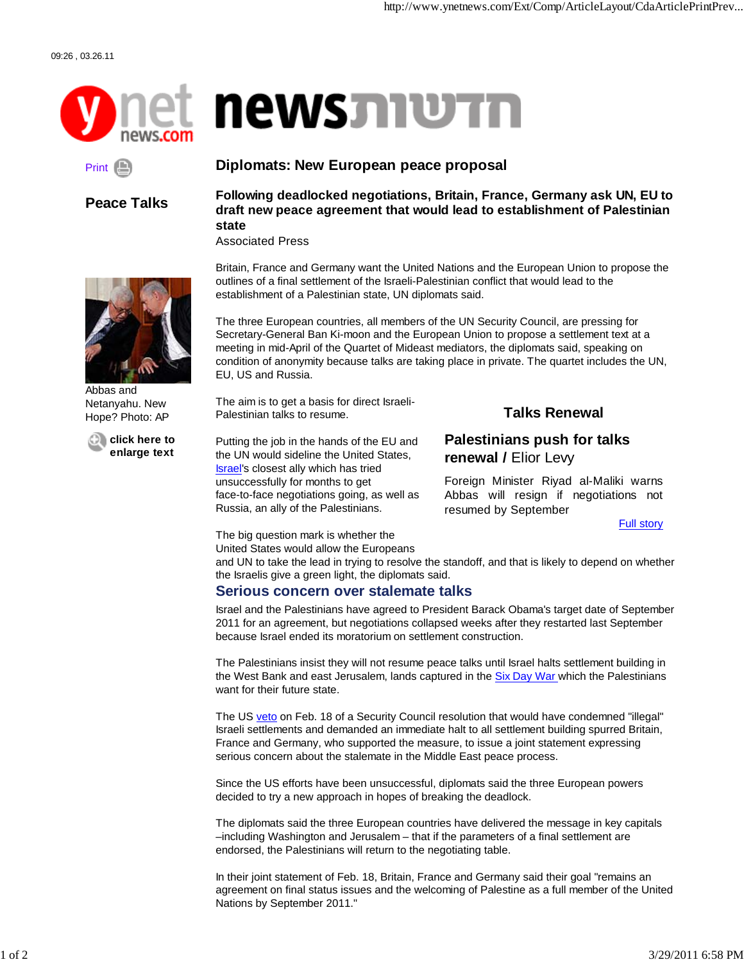

# **newsJNUTN**

## Print (

**Peace Talks**

#### **Diplomats: New European peace proposal**

**Following deadlocked negotiations, Britain, France, Germany ask UN, EU to draft new peace agreement that would lead to establishment of Palestinian state**

Associated Press



Abbas and Netanyahu. New Hope? Photo: AP

**click here to enlarge text** Britain, France and Germany want the United Nations and the European Union to propose the outlines of a final settlement of the Israeli-Palestinian conflict that would lead to the establishment of a Palestinian state, UN diplomats said.

The three European countries, all members of the UN Security Council, are pressing for Secretary-General Ban Ki-moon and the European Union to propose a settlement text at a meeting in mid-April of the Quartet of Mideast mediators, the diplomats said, speaking on condition of anonymity because talks are taking place in private. The quartet includes the UN, EU, US and Russia.

The aim is to get a basis for direct Israeli-Palestinian talks to resume.

Putting the job in the hands of the EU and the UN would sideline the United States, Israel's closest ally which has tried unsuccessfully for months to get face-to-face negotiations going, as well as Russia, an ally of the Palestinians.

#### **Talks Renewal**

#### **Palestinians push for talks renewal /** Elior Levy

Foreign Minister Riyad al-Maliki warns Abbas will resign if negotiations not resumed by September

Full story

The big question mark is whether the

United States would allow the Europeans

and UN to take the lead in trying to resolve the standoff, and that is likely to depend on whether the Israelis give a green light, the diplomats said.

#### **Serious concern over stalemate talks**

Israel and the Palestinians have agreed to President Barack Obama's target date of September 2011 for an agreement, but negotiations collapsed weeks after they restarted last September because Israel ended its moratorium on settlement construction.

The Palestinians insist they will not resume peace talks until Israel halts settlement building in the West Bank and east Jerusalem, lands captured in the Six Day War which the Palestinians want for their future state.

The US veto on Feb. 18 of a Security Council resolution that would have condemned "illegal" Israeli settlements and demanded an immediate halt to all settlement building spurred Britain, France and Germany, who supported the measure, to issue a joint statement expressing serious concern about the stalemate in the Middle East peace process.

Since the US efforts have been unsuccessful, diplomats said the three European powers decided to try a new approach in hopes of breaking the deadlock.

The diplomats said the three European countries have delivered the message in key capitals –including Washington and Jerusalem – that if the parameters of a final settlement are endorsed, the Palestinians will return to the negotiating table.

In their joint statement of Feb. 18, Britain, France and Germany said their goal "remains an agreement on final status issues and the welcoming of Palestine as a full member of the United Nations by September 2011."